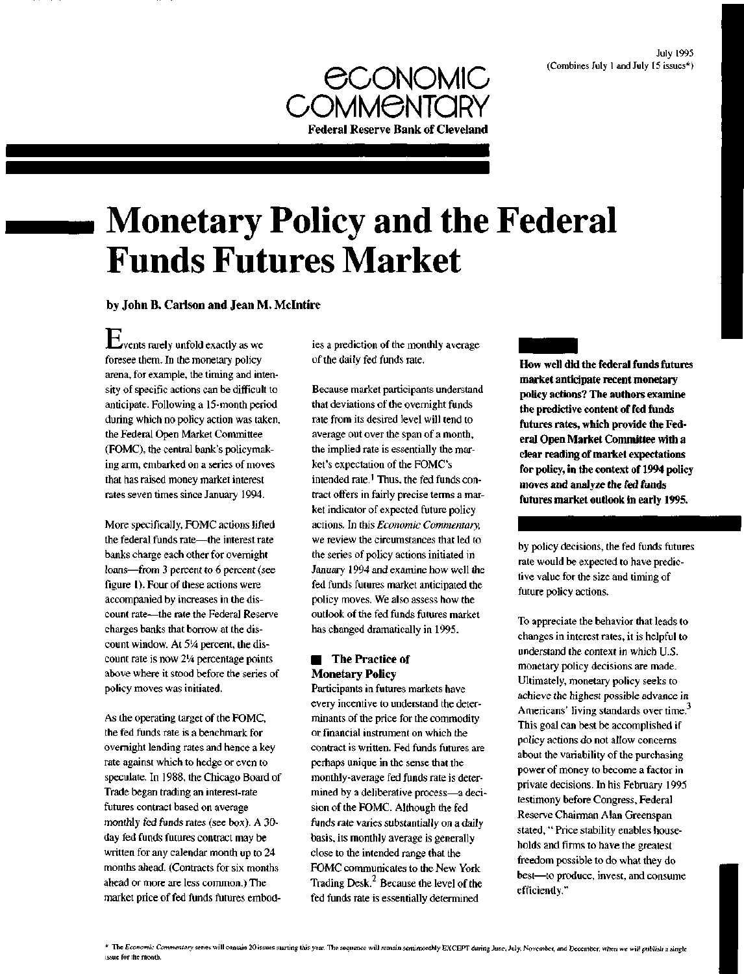

# **Monetary Policy and the Federal Funds Futures Market**

by John B. Carlson and Jean M. Mclntire

 $E_{\text{vents}}$  rarely unfold exactly as we foresee them. In the monetary policy arena, for example, the timing and intensity of specific actions can be difficult to anticipate. Following a 15-month period during which no policy action was taken, the Federal Open Market Committee (FOMC), the central bank's policymaking arm, embarked on a series of moves that has raised money market interest rates seven times since January 1994.

More specifically, FOMC actions lifted the federal funds rate—the interest rate banks charge each other for overnight loans—from 3 percent to 6 percent (see figure 1). Four of these actions were accompanied by increases in the discount rate—the rate the Federal Reserve charges banks that borrow at the discount window. At 51/4 percent, the discount rate is now *2<sup>l</sup>A* percentage points above where it stood before the series of policy moves was initiated.

As the operating target of the FOMC, the fed funds rate is a benchmark for overnight lending rates and hence a key rate against which to hedge or even to speculate. In 1988, the Chicago Board of Trade began trading an interest-rate futures contract based on average monthly fed funds rates (see box). A 30 day fed funds futures contract may be written for any calendar month up to 24 months ahead. (Contracts for six months ahead or more are less common.) The market price of fed funds futures embodies a prediction of the monthly average of the daily fed funds rate.

Because market participants understand that deviations of the overnight funds rate from its desired level will tend to average out over the span of a month, the implied rate is essentially the market's expectation of the FOMC's intended rate.<sup>1</sup> Thus, the fed funds contract offers in fairly precise terms a market indicator of expected future policy actions. In this *Economic Commentary,* we review the circumstances that led to the series of policy actions initiated in January 1994 and examine how well the fed funds futures market anticipated the policy moves. We also assess how the outlook of the fed funds futures market has changed dramatically in 1995.

# **Following The Practice of** Monetary Policy

Participants in futures markets have every incentive to understand the determinants of the price for the commodity or financial instrument on which the contract is written. Fed funds futures are perhaps unique in the sense that the monthly-average fed funds rate is determined by a deliberative process—a decision of the FOMC. Although the fed funds rate varies substantially on a daily basis, its monthly average is generally close to the intended range that the FOMC communicates to the New York Trading  $Desk<sup>2</sup>$  Because the level of the fed funds rate is essentially determined

**How well did the federal funds futures market anticipate recent monetary policy actions? The authors examine the predictive content of fed funds futures rates, which provide the Federal Open Market Committee with a clear reading of market expectations for policy, in the context of 1994 policy moves and analyze the fed funds futures market outlook in early 1995.**

by policy decisions, the fed funds futures rate would be expected to have predictive value for the size and timing of future policy actions.

To appreciate the behavior that leads to changes in interest rates, it is helpful to understand the context in which U.S. monetary policy decisions are made. Ultimately, monetary policy seeks to achieve the highest possible advance in Americans' living standards over time.<sup>3</sup> This goal can best be accomplished if policy actions do not allow concerns about the variability of the purchasing power of money to become a factor in private decisions. In his February 1995 testimony before Congress, Federal Reserve Chairman Alan Greenspan stated, " Price stability enables households and firms to have the greatest freedom possible to do what they do best—to produce, invest, and consume efficiently."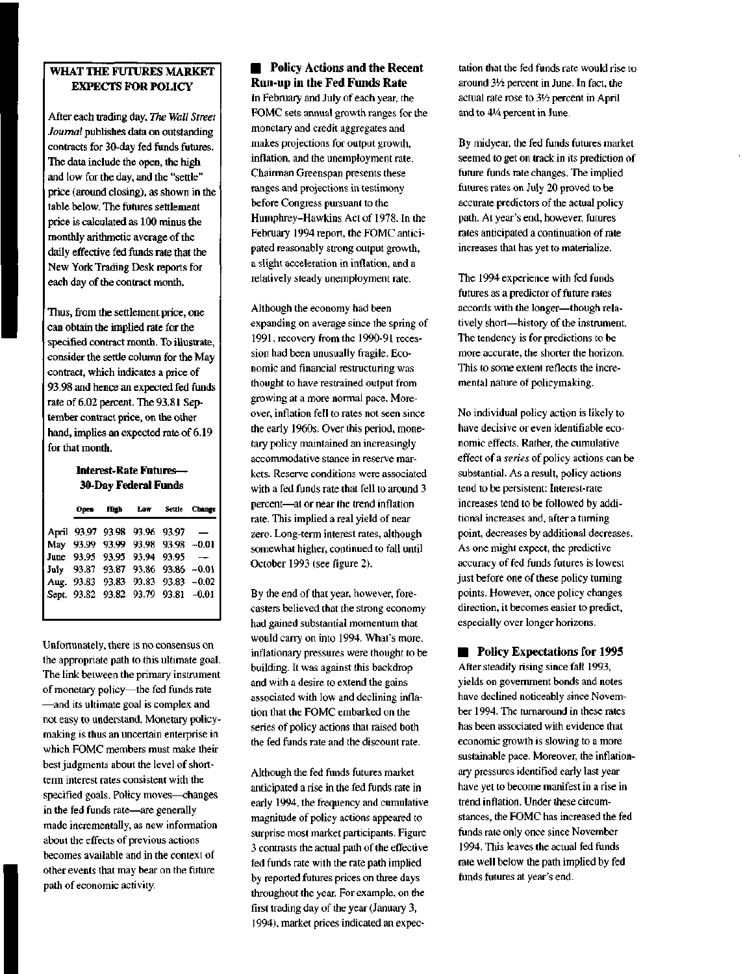## WHAT THE FUTURES MARKET EXPECTS FOR POLICY

After each trading day. *The Wall Street Journal* publishes data on outstanding contracts for 30-day fed funds futures. The data include the open, the high and low for the day, and the "settle" price (around closing), as shown in the table below. The futures settlement price is calculated as 100 minus the monthly arithmetic average of the daily effective fed funds rate that the New York Trading Desk reports for each day of the contract month.

Thus, from the settlement price, one can obtain the implied rate for the specified contract month. To illustrate, consider the settle column for the May contract, which indicates a price of 93.98 and hence an expected fed funds rate of 6.02 percent. The 93.81 September contract price, on the other hand, implies an expected rate of 6.19 for that month.

## **Interest-Rate Futures— 30-Day Federal Funds**

|  | Open High Low Settle Change         |  |
|--|-------------------------------------|--|
|  | April 93.97 93.98 93.96 93.97 -     |  |
|  | May 93.99 93.99 93.98 93.98 -0.01   |  |
|  | June 93.95 93.95 93.94 93.95 -      |  |
|  | July 93.87 93.87 93.86 93.86 -0.01  |  |
|  | Aug. 93.83 93.83 93.83 93.83 -0.02  |  |
|  | Sept. 93.82 93.82 93.79 93.81 -0.01 |  |
|  |                                     |  |

Unfortunately, there is no consensus on the appropriate path to this ultimate goal. The link between the primary instrument of monetary policy—the fed funds rate —and its ultimate goal is complex and not easy to understand. Monetary policymaking is thus an uncertain enterprise in which FOMC members must make their best judgments about the level of shortterm interest rates consistent with the specified goals. Policy moves—changes in the fed funds rate—are generally made incrementally, as new information about the effects of previous actions becomes available and in the context of other events that may bear on the future path of economic activity.

# **• Policy Actions and the Recent** Run-up in the Fed Funds Rate

In February and July of each year, the FOMC sets annual growth ranges for the monetary and credit aggregates and makes projections for output growth, inflation, and the unemployment rate. Chairman Greenspan presents these ranges and projections in testimony before Congress pursuant to the Humphrey-Hawkins Act of 1978. In the February 1994 report, the FOMC anticipated reasonably strong output growth, a slight acceleration in inflation, and a relatively steady unemployment rate.

Although the economy had been expanding on average since the spring of 1991, recovery from the 1990-91 recession had been unusually fragile. Economic and financial restructuring was thought to have restrained output from growing at a more normal pace. Moreover, inflation fell to rates not seen since the early 1960s. Over this period, monetary policy maintained an increasingly accommodative stance in reserve markets. Reserve conditions were associated with a fed funds rate that fell to around 3 percent—at or near the trend inflation rate. This implied a real yield of near zero. Long-term interest rates, although somewhat higher, continued to fall until October 1993 (see figure 2).

By the end of that year, however, forecasters believed that the strong economy had gained substantial momentum that would carry on into 1994. What's more, inflationary pressures were thought to be building. It was against this backdrop and with a desire to extend the gains associated with low and declining inflation that the FOMC embarked on the series of policy actions that raised both the fed funds rate and the discount rate.

Although the fed funds futures market anticipated a rise in the fed funds rate in early 1994, the frequency and cumulative magnitude of policy actions appeared to surprise most market participants. Figure 3 contrasts the actual path of the effective fed funds rate with the rate path implied by reported futures prices on three days throughout the year. For example, on the first trading day of the year (January 3, 1994), market prices indicated an expectation that the fed funds rate would rise to around *3<sup>l</sup>A* percent in June. In fact, the actual rate rose to 3'/2 percent in April and to *AVA* percent in June.

By midyear, the fed funds futures market seemed to get on track in its prediction of future funds rate changes. The implied futures rates on July 20 proved to be accurate predictors of the actual policy path. At year's end, however, futures rates anticipated a continuation of rate increases that has yet to materialize.

The 1994 experience with fed funds futures as a predictor of future rates accords with the longer—though relatively short—history of the instrument. The tendency is for predictions to be more accurate, the shorter the horizon. This to some extent reflects the incremental nature of policymaking.

No individual policy action is likely to have decisive or even identifiable economic effects. Rather, the cumulative effect of a *series* of policy actions can be substantial. As a result, policy actions tend to be persistent: Interest-rate increases tend to be followed by additional increases and, after a turning point, decreases by additional decreases. As one might expect, the predictive accuracy of fed funds futures is lowest just before one of these policy turning points. However, once policy changes direction, it becomes easier to predict, especially over longer horizons.

## **• Policy Expectations for 1995**

After steadily rising since fall 1993, yields on government bonds and notes have declined noticeably since November 1994. The turnaround in these rates has been associated with evidence that economic growth is slowing to a more sustainable pace. Moreover, the inflationary pressures identified early last year have yet to become manifest in a rise in trend inflation. Under these circumstances, the FOMC has increased the fed funds rate only once since November 1994. This leaves the actual fed funds rate well below the path implied by fed funds futures at year's end.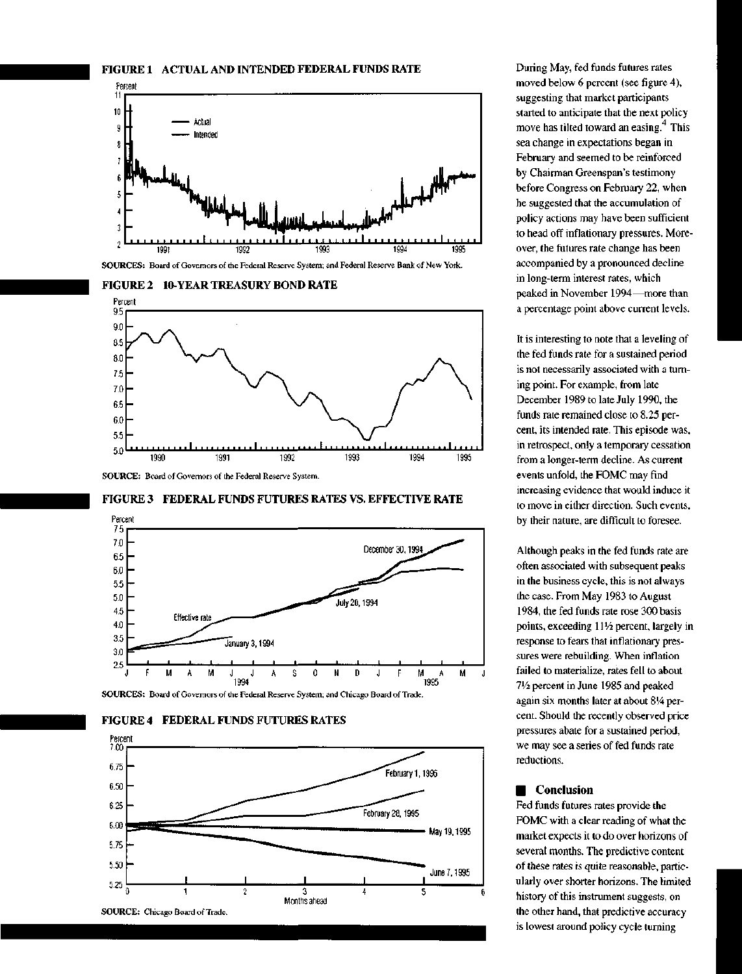













**SOURCES:** Board of Governors of the Federal Reserve System; and Chicago Board of Trade.



During May, fed funds futures rates moved below 6 percent (see figure 4), suggesting that market participants started to anticipate that the next policy move has tilted toward an easing. $<sup>4</sup>$  This</sup> sea change in expectations began in February and seemed to be reinforced by Chairman Greenspan's testimony before Congress on February 22, when he suggested that the accumulation of policy actions may have been sufficient to head off inflationary pressures. Moreover, the futures rate change has been accompanied by a pronounced decline in long-term interest rates, which peaked in November 1994—more than a percentage point above current levels.

It is interesting to note that a leveling of the fed funds rate for a sustained period is not necessarily associated with a turning point. For example, from late December 1989 to late July 1990, the funds rate remained close to 8.25 percent, its intended rate. This episode was, in retrospect, only a temporary cessation from a longer-term decline. As current events unfold, the FOMC may find increasing evidence that would induce it to move in either direction. Such events, by their nature, are difficult to foresee.

Although peaks in the fed funds rate are often associated with subsequent peaks in the business cycle, this is not always the case. From May 1983 to August 1984, the fed funds rate rose 300 basis points, exceeding 111/2 percent, largely in response to fears that inflationary pressures were rebuilding. When inflation failed to materialize, rates fell to about *IVi* percent in June 1985 and peaked again six months later at about 8'4 percent. Should the recently observed price pressures abate for a sustained period, we may see a series of fed funds rate reductions.

### **• Conclusion**

Fed funds futures rates provide the FOMC with a clear reading of what the market expects it to do over horizons of several months. The predictive content of these rates is quite reasonable, particularly over shorter horizons. The limited history of this instrument suggests, on the other hand, that predictive accuracy is lowest around policy cycle turning